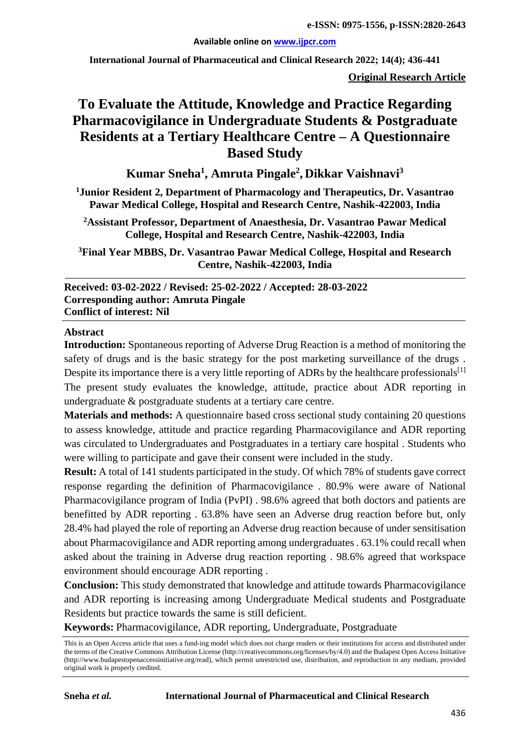#### **Available online on [www.ijpcr.com](http://www.ijpcr.com/)**

**International Journal of Pharmaceutical and Clinical Research 2022; 14(4); 436-441**

**Original Research Article**

# **To Evaluate the Attitude, Knowledge and Practice Regarding Pharmacovigilance in Undergraduate Students & Postgraduate Residents at a Tertiary Healthcare Centre – A Questionnaire Based Study**

**Kumar Sneha<sup>1</sup> , Amruta Pingale2 , Dikkar Vaishnavi3**

**1 Junior Resident 2, Department of Pharmacology and Therapeutics, Dr. Vasantrao Pawar Medical College, Hospital and Research Centre, Nashik-422003, India**

**2Assistant Professor, Department of Anaesthesia, Dr. Vasantrao Pawar Medical College, Hospital and Research Centre, Nashik-422003, India**

**3Final Year MBBS, Dr. Vasantrao Pawar Medical College, Hospital and Research Centre, Nashik-422003, India**

**Received: 03-02-2022 / Revised: 25-02-2022 / Accepted: 28-03-2022 Corresponding author: Amruta Pingale Conflict of interest: Nil**

#### **Abstract**

**Introduction:** Spontaneous reporting of Adverse Drug Reaction is a method of monitoring the safety of drugs and is the basic strategy for the post marketing surveillance of the drugs . Despite its importance there is a very little reporting of ADRs by the healthcare professionals $^{[1]}$ The present study evaluates the knowledge, attitude, practice about ADR reporting in undergraduate & postgraduate students at a tertiary care centre.

**Materials and methods:** A questionnaire based cross sectional study containing 20 questions to assess knowledge, attitude and practice regarding Pharmacovigilance and ADR reporting was circulated to Undergraduates and Postgraduates in a tertiary care hospital . Students who were willing to participate and gave their consent were included in the study.

**Result:** A total of 141 students participated in the study. Of which 78% of students gave correct response regarding the definition of Pharmacovigilance . 80.9% were aware of National Pharmacovigilance program of India (PvPI) . 98.6% agreed that both doctors and patients are benefitted by ADR reporting . 63.8% have seen an Adverse drug reaction before but, only 28.4% had played the role of reporting an Adverse drug reaction because of under sensitisation about Pharmacovigilance and ADR reporting among undergraduates . 63.1% could recall when asked about the training in Adverse drug reaction reporting . 98.6% agreed that workspace environment should encourage ADR reporting .

**Conclusion:** This study demonstrated that knowledge and attitude towards Pharmacovigilance and ADR reporting is increasing among Undergraduate Medical students and Postgraduate Residents but practice towards the same is still deficient.

**Keywords:** Pharmacovigilance, ADR reporting, Undergraduate, Postgraduate

This is an Open Access article that uses a fund-ing model which does not charge readers or their institutions for access and distributed under the terms of the Creative Commons Attribution License (http://creativecommons.org/licenses/by/4.0) and the Budapest Open Access Initiative (http://www.budapestopenaccessinitiative.org/read), which permit unrestricted use, distribution, and reproduction in any medium, provided original work is properly credited.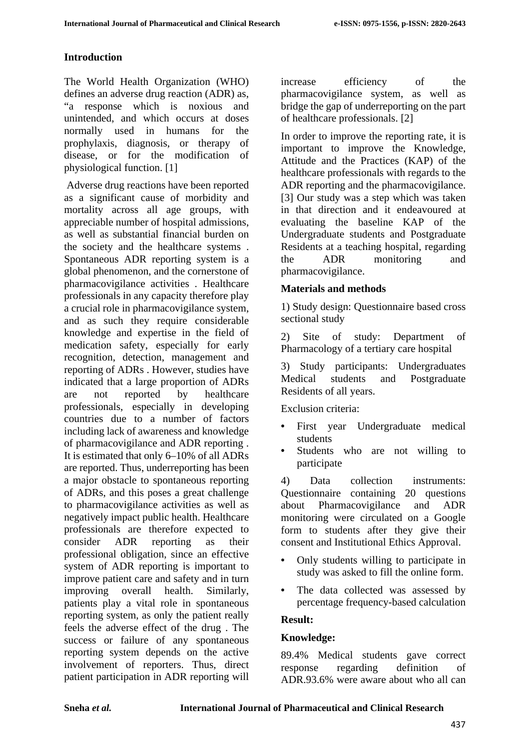# **Introduction**

The World Health Organization (WHO) defines an adverse drug reaction (ADR) as, "a response which is noxious and unintended, and which occurs at doses normally used in humans for the prophylaxis, diagnosis, or therapy of disease, or for the modification of physiological function. [1]

Adverse drug reactions have been reported as a significant cause of morbidity and mortality across all age groups, with appreciable number of hospital admissions, as well as substantial financial burden on the society and the healthcare systems . Spontaneous ADR reporting system is a global phenomenon, and the cornerstone of pharmacovigilance activities . Healthcare professionals in any capacity therefore play a crucial role in pharmacovigilance system, and as such they require considerable knowledge and expertise in the field of medication safety, especially for early recognition, detection, management and reporting of ADRs . However, studies have indicated that a large proportion of ADRs are not reported by healthcare professionals, especially in developing countries due to a number of factors including lack of awareness and knowledge of pharmacovigilance and ADR reporting . It is estimated that only 6–10% of all ADRs are reported. Thus, underreporting has been a major obstacle to spontaneous reporting of ADRs, and this poses a great challenge to pharmacovigilance activities as well as negatively impact public health. Healthcare professionals are therefore expected to consider ADR reporting as their professional obligation, since an effective system of ADR reporting is important to improve patient care and safety and in turn improving overall health. Similarly, patients play a vital role in spontaneous reporting system, as only the patient really feels the adverse effect of the drug . The success or failure of any spontaneous reporting system depends on the active involvement of reporters. Thus, direct patient participation in ADR reporting will

increase efficiency of the pharmacovigilance system, as well as bridge the gap of underreporting on the part of healthcare professionals. [2]

In order to improve the reporting rate, it is important to improve the Knowledge, Attitude and the Practices (KAP) of the healthcare professionals with regards to the ADR reporting and the pharmacovigilance. [3] Our study was a step which was taken in that direction and it endeavoured at evaluating the baseline KAP of the Undergraduate students and Postgraduate Residents at a teaching hospital, regarding the ADR monitoring and pharmacovigilance.

# **Materials and methods**

1) Study design: Questionnaire based cross sectional study

2) Site of study: Department of Pharmacology of a tertiary care hospital

3) Study participants: Undergraduates Medical students and Postgraduate Residents of all years.

Exclusion criteria:

- First year Undergraduate medical students
- Students who are not willing to participate

4) Data collection instruments: Questionnaire containing 20 questions about Pharmacovigilance and ADR monitoring were circulated on a Google form to students after they give their consent and Institutional Ethics Approval.

- Only students willing to participate in study was asked to fill the online form.
- The data collected was assessed by percentage frequency-based calculation

### **Result:**

# **Knowledge:**

89.4% Medical students gave correct response regarding definition of ADR.93.6% were aware about who all can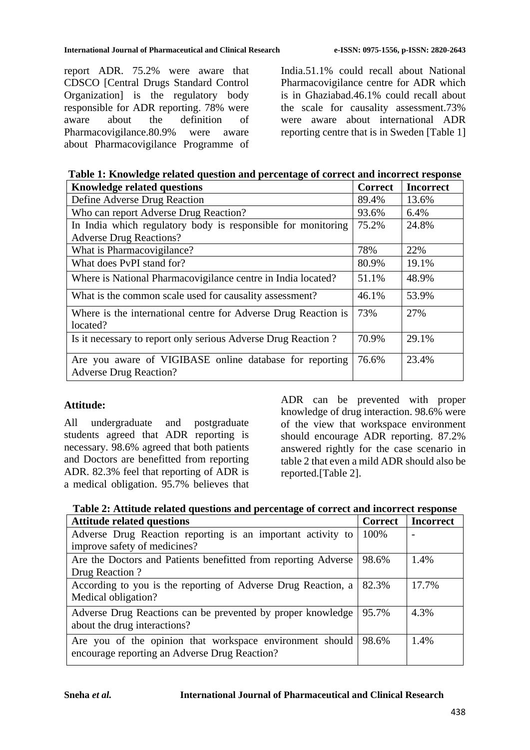report ADR. 75.2% were aware that CDSCO [Central Drugs Standard Control Organization] is the regulatory body responsible for ADR reporting. 78% were aware about the definition of Pharmacovigilance.80.9% were aware about Pharmacovigilance Programme of India.51.1% could recall about National Pharmacovigilance centre for ADR which is in Ghaziabad.46.1% could recall about the scale for causality assessment.73% were aware about international ADR reporting centre that is in Sweden [Table 1]

| Table 1: Knowledge related question and percentage of correct and incorrect response |  |  |  |
|--------------------------------------------------------------------------------------|--|--|--|

| <b>Knowledge related questions</b>                                                       | <b>Correct</b> | <b>Incorrect</b> |
|------------------------------------------------------------------------------------------|----------------|------------------|
| Define Adverse Drug Reaction                                                             | 89.4%          | 13.6%            |
| Who can report Adverse Drug Reaction?                                                    | 93.6%          | 6.4%             |
| In India which regulatory body is responsible for monitoring                             | 75.2%          | 24.8%            |
| <b>Adverse Drug Reactions?</b>                                                           |                |                  |
| What is Pharmacovigilance?                                                               | 78%            | 22%              |
| What does PvPI stand for?                                                                | 80.9%          | 19.1%            |
| Where is National Pharmacovigilance centre in India located?                             | 51.1%          | 48.9%            |
| What is the common scale used for causality assessment?                                  | 46.1%          | 53.9%            |
| Where is the international centre for Adverse Drug Reaction is<br>located?               | 73%            | 27%              |
| Is it necessary to report only serious Adverse Drug Reaction?                            | 70.9%          | 29.1%            |
| Are you aware of VIGIBASE online database for reporting<br><b>Adverse Drug Reaction?</b> | 76.6%          | 23.4%            |

### **Attitude:**

All undergraduate and postgraduate students agreed that ADR reporting is necessary. 98.6% agreed that both patients and Doctors are benefitted from reporting ADR. 82.3% feel that reporting of ADR is a medical obligation. 95.7% believes that

ADR can be prevented with proper knowledge of drug interaction. 98.6% were of the view that workspace environment should encourage ADR reporting. 87.2% answered rightly for the case scenario in table 2 that even a mild ADR should also be reported.[Table 2].

| Table 2: Attitude related questions and percentage of correct and incorrect response |  |
|--------------------------------------------------------------------------------------|--|
|--------------------------------------------------------------------------------------|--|

| <b>Attitude related questions</b>                              | <b>Correct</b> | <b>Incorrect</b> |
|----------------------------------------------------------------|----------------|------------------|
| Adverse Drug Reaction reporting is an important activity to    | 100%           |                  |
| improve safety of medicines?                                   |                |                  |
| Are the Doctors and Patients benefitted from reporting Adverse | 98.6%          | 1.4%             |
| Drug Reaction?                                                 |                |                  |
| According to you is the reporting of Adverse Drug Reaction, a  | 82.3%          | 17.7%            |
| Medical obligation?                                            |                |                  |
| Adverse Drug Reactions can be prevented by proper knowledge    | 95.7%          | 4.3%             |
| about the drug interactions?                                   |                |                  |
| Are you of the opinion that workspace environment should       | 98.6%          | 1.4%             |
| encourage reporting an Adverse Drug Reaction?                  |                |                  |
|                                                                |                |                  |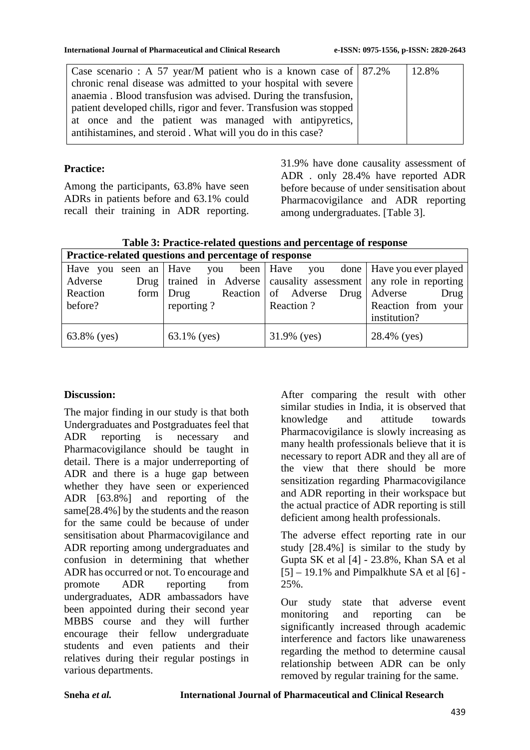| Case scenario : A 57 year/M patient who is a known case of $\mid 87.2\% \mid$ | 12.8% |
|-------------------------------------------------------------------------------|-------|
| chronic renal disease was admitted to your hospital with severe               |       |
| anaemia. Blood transfusion was advised. During the transfusion,               |       |
| patient developed chills, rigor and fever. Transfusion was stopped            |       |
| at once and the patient was managed with antipyretics,                        |       |
| antihistamines, and steroid. What will you do in this case?                   |       |
|                                                                               |       |

# **Practice:**

Among the participants, 63.8% have seen ADRs in patients before and 63.1% could recall their training in ADR reporting.

31.9% have done causality assessment of ADR . only 28.4% have reported ADR before because of under sensitisation about Pharmacovigilance and ADR reporting among undergraduates. [Table 3].

**Table 3: Practice-related questions and percentage of response**

| Practice-related questions and percentage of response                   |  |             |  |  |           |             |  |  |                                                                          |      |
|-------------------------------------------------------------------------|--|-------------|--|--|-----------|-------------|--|--|--------------------------------------------------------------------------|------|
| Have you seen an   Have you been   Have you done   Have you ever played |  |             |  |  |           |             |  |  |                                                                          |      |
| Adverse                                                                 |  |             |  |  |           |             |  |  | Drug   trained in Adverse   causality assessment   any role in reporting |      |
| Reaction                                                                |  |             |  |  |           |             |  |  | form Drug Reaction of Adverse Drug Adverse                               | Drug |
| before?                                                                 |  | reporting?  |  |  | Reaction? |             |  |  | Reaction from your                                                       |      |
|                                                                         |  |             |  |  |           |             |  |  | institution?                                                             |      |
| 63.8% (yes)                                                             |  | 63.1% (yes) |  |  |           | 31.9% (yes) |  |  | 28.4% (yes)                                                              |      |

# **Discussion:**

The major finding in our study is that both Undergraduates and Postgraduates feel that ADR reporting is necessary and Pharmacovigilance should be taught in detail. There is a major underreporting of ADR and there is a huge gap between whether they have seen or experienced ADR [63.8%] and reporting of the same[28.4%] by the students and the reason for the same could be because of under sensitisation about Pharmacovigilance and ADR reporting among undergraduates and confusion in determining that whether ADR has occurred or not. To encourage and promote ADR reporting from undergraduates, ADR ambassadors have been appointed during their second year MBBS course and they will further encourage their fellow undergraduate students and even patients and their relatives during their regular postings in various departments.

After comparing the result with other similar studies in India, it is observed that knowledge and attitude towards Pharmacovigilance is slowly increasing as many health professionals believe that it is necessary to report ADR and they all are of the view that there should be more sensitization regarding Pharmacovigilance and ADR reporting in their workspace but the actual practice of ADR reporting is still deficient among health professionals.

The adverse effect reporting rate in our study [28.4%] is similar to the study by Gupta SK et al [4] - 23.8%, Khan SA et al  $[5]$  – 19.1% and Pimpalkhute SA et al  $[6]$  -25%.

Our study state that adverse event monitoring and reporting can be significantly increased through academic interference and factors like unawareness regarding the method to determine causal relationship between ADR can be only removed by regular training for the same.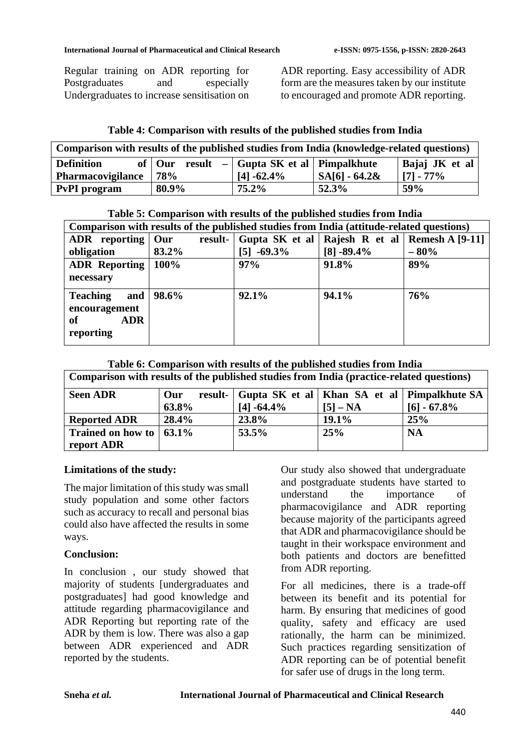Regular training on ADR reporting for Postgraduates and especially Undergraduates to increase sensitisation on ADR reporting. Easy accessibility of ADR form are the measures taken by our institute to encouraged and promote ADR reporting.

| Tuoit II Comparioni with results of the published statics from many                       |            |                                       |                 |                |  |  |  |
|-------------------------------------------------------------------------------------------|------------|---------------------------------------|-----------------|----------------|--|--|--|
| Comparison with results of the published studies from India (knowledge-related questions) |            |                                       |                 |                |  |  |  |
| <b>Definition</b>                                                                         | $of$   Our | result $-$ Gupta SK et al Pimpalkhute |                 | Bajaj JK et al |  |  |  |
| Pharmacovigilance                                                                         | 78%        | $[4] -62.4\%$                         | $SA[6] - 64.2&$ | $[7] - 77\%$   |  |  |  |
| <b>PvPI</b> program                                                                       | 80.9%      | $75.2\%$                              | 52.3%           | 59%            |  |  |  |

## **Table 4: Comparison with results of the published studies from India**

|  |  |  |  | Table 5: Comparison with results of the published studies from India |
|--|--|--|--|----------------------------------------------------------------------|
|--|--|--|--|----------------------------------------------------------------------|

| Comparison with results of the published studies from India (attitude-related questions) |       |               |                |                                                             |  |  |  |
|------------------------------------------------------------------------------------------|-------|---------------|----------------|-------------------------------------------------------------|--|--|--|
| ADR reporting   Our                                                                      |       |               |                | result-   Gupta SK et al   Rajesh R et al   Remesh A [9-11] |  |  |  |
| obligation                                                                               | 83.2% | $[5] -69.3\%$ | $[8] - 89.4\%$ | $-80%$                                                      |  |  |  |
| <b>ADR</b> Reporting   100%                                                              |       | 97%           | 91.8%          | 89%                                                         |  |  |  |
| necessary                                                                                |       |               |                |                                                             |  |  |  |
| <b>Teaching</b><br>and<br>encouragement<br><b>ADR</b><br><sub>of</sub><br>reporting      | 98.6% | 92.1%         | 94.1%          | 76%                                                         |  |  |  |

| Table 6: Comparison with results of the published studies from India                     |
|------------------------------------------------------------------------------------------|
| Comparison with results of the published studies from India (practice-related questions) |

| <b>Seen ADR</b>                 | Our   |                | result-   Gupta SK et al   Khan SA et al   Pimpalkhute SA |                |
|---------------------------------|-------|----------------|-----------------------------------------------------------|----------------|
|                                 | 63.8% | $[4] - 64.4\%$ | $[5]$ – NA                                                | $[6] - 67.8\%$ |
| <b>Reported ADR</b>             | 28.4% | 23.8%          | $19.1\%$                                                  | 25%            |
| Trained on how to $\vert$ 63.1% |       | 53.5%          | 25%                                                       | <b>NA</b>      |
| report ADR                      |       |                |                                                           |                |

# **Limitations of the study:**

The major limitation of this study was small study population and some other factors such as accuracy to recall and personal bias could also have affected the results in some ways.

### **Conclusion:**

In conclusion , our study showed that majority of students [undergraduates and postgraduates] had good knowledge and attitude regarding pharmacovigilance and ADR Reporting but reporting rate of the ADR by them is low. There was also a gap between ADR experienced and ADR reported by the students.

Our study also showed that undergraduate and postgraduate students have started to understand the importance of pharmacovigilance and ADR reporting because majority of the participants agreed that ADR and pharmacovigilance should be taught in their workspace environment and both patients and doctors are benefitted from ADR reporting.

For all medicines, there is a trade-off between its benefit and its potential for harm. By ensuring that medicines of good quality, safety and efficacy are used rationally, the harm can be minimized. Such practices regarding sensitization of ADR reporting can be of potential benefit for safer use of drugs in the long term.